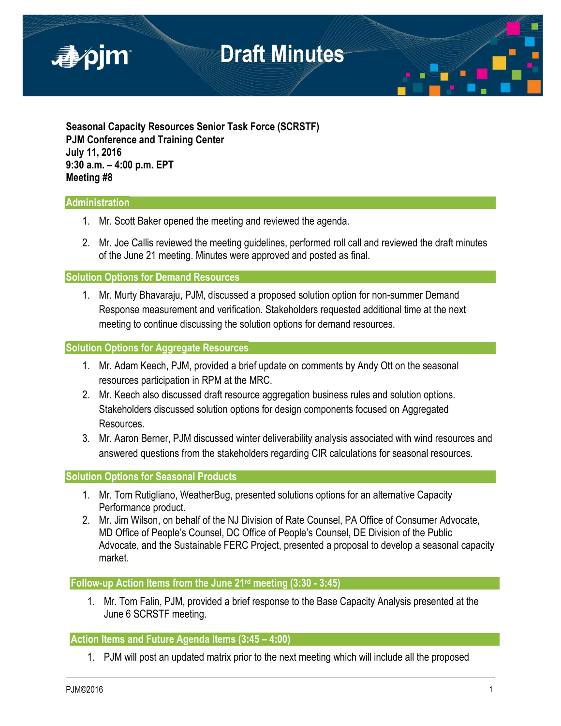

**Seasonal Capacity Resources Senior Task Force (SCRSTF) PJM Conference and Training Center July 11, 2016 9:30 a.m. – 4:00 p.m. EPT Meeting #8**

#### **Administration**

- 1. Mr. Scott Baker opened the meeting and reviewed the agenda.
- 2. Mr. Joe Callis reviewed the meeting guidelines, performed roll call and reviewed the draft minutes of the June 21 meeting. Minutes were approved and posted as final.

**Solution Options for Demand Resources** 

1. Mr. Murty Bhavaraju, PJM, discussed a proposed solution option for non-summer Demand Response measurement and verification. Stakeholders requested additional time at the next meeting to continue discussing the solution options for demand resources.

#### **Solution Options for Aggregate Resources**

- 1. Mr. Adam Keech, PJM, provided a brief update on comments by Andy Ott on the seasonal resources participation in RPM at the MRC.
- 2. Mr. Keech also discussed draft resource aggregation business rules and solution options. Stakeholders discussed solution options for design components focused on Aggregated Resources.
- 3. Mr. Aaron Berner, PJM discussed winter deliverability analysis associated with wind resources and answered questions from the stakeholders regarding CIR calculations for seasonal resources.

### **Solution Options for Seasonal Products**

- 1. Mr. Tom Rutigliano, WeatherBug, presented solutions options for an alternative Capacity Performance product.
- 2. Mr. Jim Wilson, on behalf of the NJ Division of Rate Counsel, PA Office of Consumer Advocate, MD Office of People's Counsel, DC Office of People's Counsel, DE Division of the Public Advocate, and the Sustainable FERC Project, presented a proposal to develop a seasonal capacity market.

### **Follow-up Action Items from the June 21rd meeting (3:30 - 3:45)**

1. Mr. Tom Falin, PJM, provided a brief response to the Base Capacity Analysis presented at the June 6 SCRSTF meeting.

### **Action Items and Future Agenda Items (3:45 – 4:00)**

1. PJM will post an updated matrix prior to the next meeting which will include all the proposed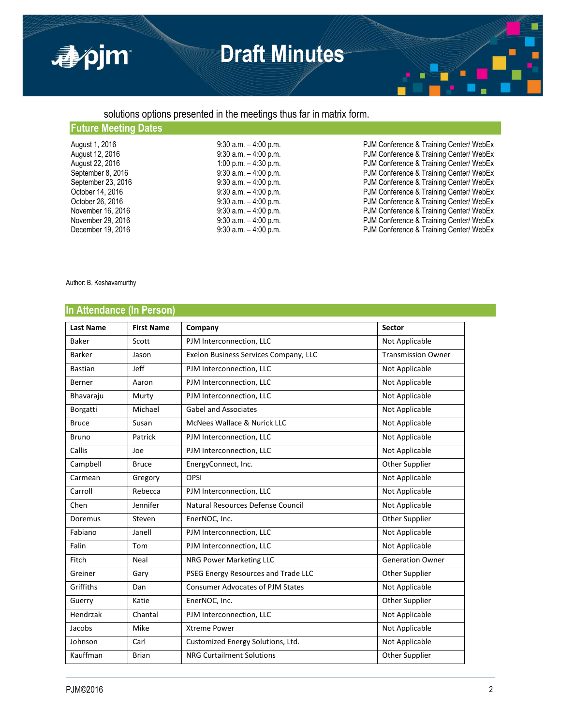

## solutions options presented in the meetings thus far in matrix form.

## **Future Meeting Dates**

| August 1, 2016     | $9:30$ a.m. $-4:00$ p.m. | PJM Conference & Training Center/ WebEx |
|--------------------|--------------------------|-----------------------------------------|
| August 12, 2016    | $9:30$ a.m. $-4:00$ p.m. | PJM Conference & Training Center/ WebEx |
| August 22, 2016    | 1:00 p.m. $-$ 4:30 p.m.  | PJM Conference & Training Center/ WebEx |
| September 8, 2016  | $9:30$ a.m. $-4:00$ p.m. | PJM Conference & Training Center/ WebEx |
| September 23, 2016 | $9:30$ a.m. $-4:00$ p.m. | PJM Conference & Training Center/ WebEx |
| October 14, 2016   | $9:30$ a.m. $-4:00$ p.m. | PJM Conference & Training Center/ WebEx |
| October 26, 2016   | $9:30$ a.m. $-4:00$ p.m. | PJM Conference & Training Center/ WebEx |
| November 16, 2016  | $9:30$ a.m. $-4:00$ p.m. | PJM Conference & Training Center/ WebEx |
| November 29, 2016  | $9:30$ a.m. $-4:00$ p.m. | PJM Conference & Training Center/ WebEx |
| December 19, 2016  | $9:30$ a.m. $-4:00$ p.m. | PJM Conference & Training Center/ WebEx |

#### Author: B. Keshavamurthy

## **In Attendance (In Person)**

| <b>Last Name</b> | <b>First Name</b> | Company                                 | Sector                    |
|------------------|-------------------|-----------------------------------------|---------------------------|
| Baker            | Scott             | PJM Interconnection, LLC                | Not Applicable            |
| Barker           | Jason             | Exelon Business Services Company, LLC   | <b>Transmission Owner</b> |
| <b>Bastian</b>   | Jeff              | PJM Interconnection, LLC                | Not Applicable            |
| Berner           | Aaron             | PJM Interconnection, LLC                | Not Applicable            |
| Bhavaraju        | Murty             | PJM Interconnection, LLC                | Not Applicable            |
| Borgatti         | Michael           | <b>Gabel and Associates</b>             | Not Applicable            |
| <b>Bruce</b>     | Susan             | McNees Wallace & Nurick LLC             | Not Applicable            |
| <b>Bruno</b>     | Patrick           | PJM Interconnection, LLC                | Not Applicable            |
| Callis           | Joe               | PJM Interconnection, LLC                | Not Applicable            |
| Campbell         | <b>Bruce</b>      | EnergyConnect, Inc.                     | Other Supplier            |
| Carmean          | Gregory           | OPSI                                    | Not Applicable            |
| Carroll          | Rebecca           | PJM Interconnection, LLC                | Not Applicable            |
| Chen             | Jennifer          | Natural Resources Defense Council       | Not Applicable            |
| Doremus          | Steven            | EnerNOC, Inc.                           | Other Supplier            |
| Fabiano          | Janell            | PJM Interconnection, LLC                | Not Applicable            |
| Falin            | Tom               | PJM Interconnection, LLC                | Not Applicable            |
| Fitch            | Neal              | NRG Power Marketing LLC                 | <b>Generation Owner</b>   |
| Greiner          | Gary              | PSEG Energy Resources and Trade LLC     | Other Supplier            |
| Griffiths        | Dan               | <b>Consumer Advocates of PJM States</b> | Not Applicable            |
| Guerry           | Katie             | EnerNOC, Inc.                           | Other Supplier            |
| Hendrzak         | Chantal           | PJM Interconnection, LLC                | Not Applicable            |
| Jacobs           | Mike              | <b>Xtreme Power</b>                     | Not Applicable            |
| Johnson          | Carl              | Customized Energy Solutions, Ltd.       | Not Applicable            |
| Kauffman         | <b>Brian</b>      | <b>NRG Curtailment Solutions</b>        | <b>Other Supplier</b>     |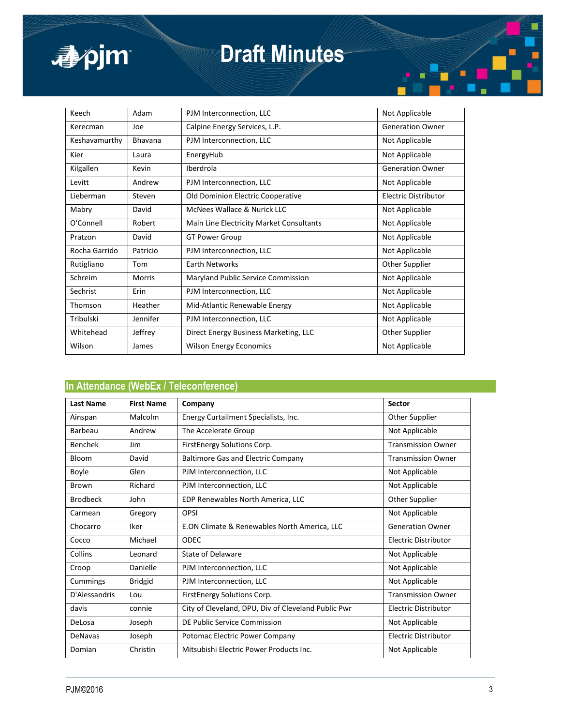

| Keech            | Adam     | PJM Interconnection, LLC                 | Not Applicable              |
|------------------|----------|------------------------------------------|-----------------------------|
| Kerecman         | Joe      | Calpine Energy Services, L.P.            | <b>Generation Owner</b>     |
| Keshavamurthy    | Bhavana  | PJM Interconnection, LLC                 | Not Applicable              |
| Kier             | Laura    | EnergyHub                                | Not Applicable              |
| Kilgallen        | Kevin    | Iberdrola                                | <b>Generation Owner</b>     |
| Levitt           | Andrew   | PJM Interconnection, LLC                 | Not Applicable              |
| Lieberman        | Steven   | Old Dominion Electric Cooperative        | <b>Electric Distributor</b> |
| Mabry            | David    | McNees Wallace & Nurick LLC              | Not Applicable              |
| O'Connell        | Robert   | Main Line Electricity Market Consultants | Not Applicable              |
| Pratzon          | David    | <b>GT Power Group</b>                    | Not Applicable              |
| Rocha Garrido    | Patricio | PJM Interconnection, LLC                 | Not Applicable              |
| Rutigliano       | Tom      | <b>Earth Networks</b>                    | Other Supplier              |
| Schreim          | Morris   | Maryland Public Service Commission       | Not Applicable              |
| Sechrist         | Erin     | PJM Interconnection, LLC                 | Not Applicable              |
| Thomson          | Heather  | Mid-Atlantic Renewable Energy            | Not Applicable              |
| <b>Tribulski</b> | Jennifer | PJM Interconnection, LLC                 | Not Applicable              |
| Whitehead        | Jeffrey  | Direct Energy Business Marketing, LLC    | Other Supplier              |
| Wilson           | James    | <b>Wilson Energy Economics</b>           | Not Applicable              |

## **In Attendance (WebEx / Teleconference)**

| <b>Last Name</b> | <b>First Name</b> | Company                                             | <b>Sector</b>             |
|------------------|-------------------|-----------------------------------------------------|---------------------------|
| Ainspan          | Malcolm           | Energy Curtailment Specialists, Inc.                | <b>Other Supplier</b>     |
| Barbeau          | Andrew            | The Accelerate Group                                | Not Applicable            |
| <b>Benchek</b>   | <b>Jim</b>        | FirstEnergy Solutions Corp.                         | <b>Transmission Owner</b> |
| Bloom            | David             | <b>Baltimore Gas and Electric Company</b>           | <b>Transmission Owner</b> |
| Boyle            | Glen              | PJM Interconnection, LLC                            | Not Applicable            |
| Brown            | Richard           | PJM Interconnection, LLC                            | Not Applicable            |
| <b>Brodbeck</b>  | John              | EDP Renewables North America, LLC                   | Other Supplier            |
| Carmean          | Gregory           | <b>OPSI</b>                                         | Not Applicable            |
| Chocarro         | Iker              | E.ON Climate & Renewables North America, LLC        | <b>Generation Owner</b>   |
| Cocco            | Michael           | ODEC                                                | Electric Distributor      |
| Collins          | Leonard           | State of Delaware                                   | Not Applicable            |
| Croop            | Danielle          | PJM Interconnection, LLC                            | Not Applicable            |
| Cummings         | <b>Bridgid</b>    | PJM Interconnection, LLC                            | Not Applicable            |
| D'Alessandris    | Lou               | FirstEnergy Solutions Corp.                         | <b>Transmission Owner</b> |
| davis            | connie            | City of Cleveland, DPU, Div of Cleveland Public Pwr | Electric Distributor      |
| DeLosa           | Joseph            | DE Public Service Commission                        | Not Applicable            |
| DeNavas          | Joseph            | Potomac Electric Power Company                      | Electric Distributor      |
| Domian           | Christin          | Mitsubishi Electric Power Products Inc.             | Not Applicable            |

۰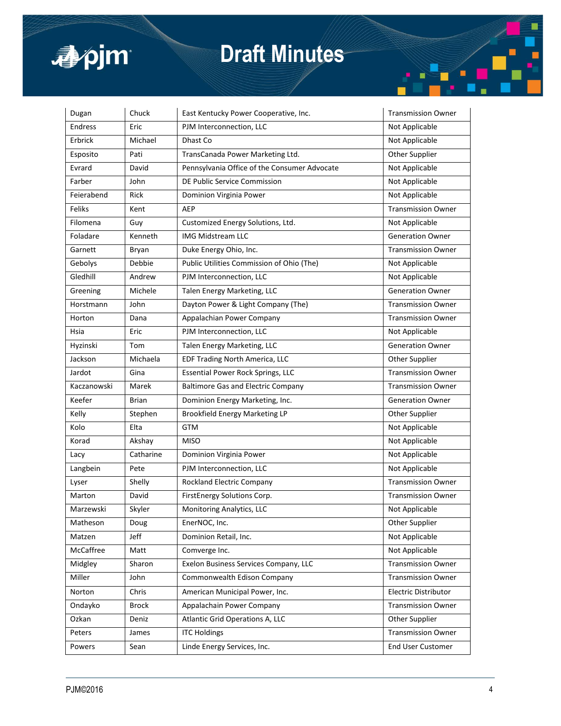

| Dugan       | Chuck        | East Kentucky Power Cooperative, Inc.        | <b>Transmission Owner</b> |
|-------------|--------------|----------------------------------------------|---------------------------|
| Endress     | Eric         | PJM Interconnection, LLC                     | Not Applicable            |
| Erbrick     | Michael      | Dhast Co                                     | Not Applicable            |
| Esposito    | Pati         | TransCanada Power Marketing Ltd.             | Other Supplier            |
| Evrard      | David        | Pennsylvania Office of the Consumer Advocate | Not Applicable            |
| Farber      | John         | DE Public Service Commission                 | Not Applicable            |
| Feierabend  | <b>Rick</b>  | Dominion Virginia Power                      | Not Applicable            |
| Feliks      | Kent         | <b>AEP</b>                                   | <b>Transmission Owner</b> |
| Filomena    | Guy          | Customized Energy Solutions, Ltd.            | Not Applicable            |
| Foladare    | Kenneth      | <b>IMG Midstream LLC</b>                     | <b>Generation Owner</b>   |
| Garnett     | Bryan        | Duke Energy Ohio, Inc.                       | <b>Transmission Owner</b> |
| Gebolys     | Debbie       | Public Utilities Commission of Ohio (The)    | Not Applicable            |
| Gledhill    | Andrew       | PJM Interconnection, LLC                     | Not Applicable            |
| Greening    | Michele      | Talen Energy Marketing, LLC                  | <b>Generation Owner</b>   |
| Horstmann   | John         | Dayton Power & Light Company (The)           | <b>Transmission Owner</b> |
| Horton      | Dana         | Appalachian Power Company                    | <b>Transmission Owner</b> |
| Hsia        | Eric         | PJM Interconnection, LLC                     | Not Applicable            |
| Hyzinski    | Tom          | Talen Energy Marketing, LLC                  | <b>Generation Owner</b>   |
| Jackson     | Michaela     | EDF Trading North America, LLC               | Other Supplier            |
| Jardot      | Gina         | <b>Essential Power Rock Springs, LLC</b>     | <b>Transmission Owner</b> |
| Kaczanowski | Marek        | <b>Baltimore Gas and Electric Company</b>    | <b>Transmission Owner</b> |
| Keefer      | <b>Brian</b> | Dominion Energy Marketing, Inc.              | <b>Generation Owner</b>   |
| Kelly       | Stephen      | Brookfield Energy Marketing LP               | Other Supplier            |
| Kolo        | Elta         | <b>GTM</b>                                   | Not Applicable            |
| Korad       | Akshay       | <b>MISO</b>                                  | Not Applicable            |
| Lacy        | Catharine    | Dominion Virginia Power                      | Not Applicable            |
| Langbein    | Pete         | PJM Interconnection, LLC                     | Not Applicable            |
| Lyser       | Shelly       | Rockland Electric Company                    | <b>Transmission Owner</b> |
| Marton      | David        | FirstEnergy Solutions Corp.                  | <b>Transmission Owner</b> |
| Marzewski   | Skyler       | Monitoring Analytics, LLC                    | Not Applicable            |
| Matheson    | Doug         | EnerNOC, Inc.                                | Other Supplier            |
| Matzen      | Jeff         | Dominion Retail, Inc.                        | Not Applicable            |
| McCaffree   | Matt         | Comverge Inc.                                | Not Applicable            |
| Midgley     | Sharon       | Exelon Business Services Company, LLC        | <b>Transmission Owner</b> |
| Miller      | John         | Commonwealth Edison Company                  | <b>Transmission Owner</b> |
| Norton      | Chris        | American Municipal Power, Inc.               | Electric Distributor      |
| Ondayko     | Brock        | Appalachain Power Company                    | <b>Transmission Owner</b> |
| Ozkan       | Deniz        | Atlantic Grid Operations A, LLC              | Other Supplier            |
| Peters      | James        | <b>ITC Holdings</b>                          | <b>Transmission Owner</b> |
| Powers      | Sean         | Linde Energy Services, Inc.                  | End User Customer         |

É ٤.

×